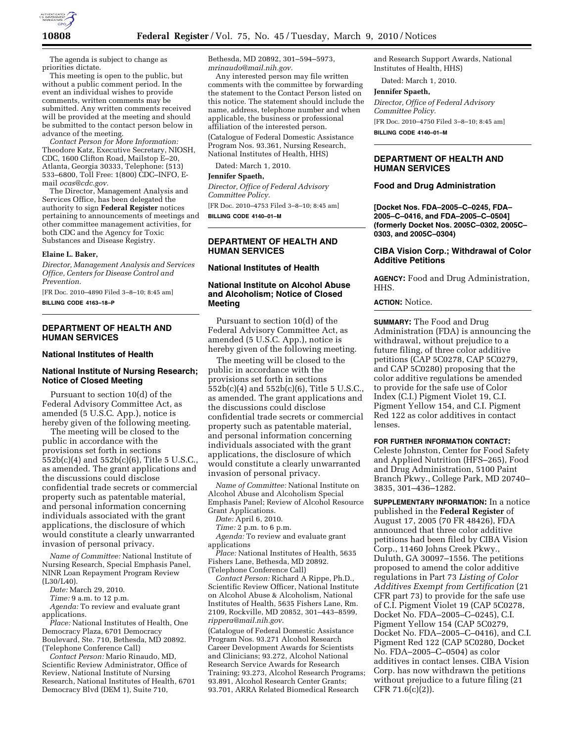

The agenda is subject to change as priorities dictate.

This meeting is open to the public, but without a public comment period. In the event an individual wishes to provide comments, written comments may be submitted. Any written comments received will be provided at the meeting and should be submitted to the contact person below in advance of the meeting.

*Contact Person for More Information:*  Theodore Katz, Executive Secretary, NIOSH, CDC, 1600 Clifton Road, Mailstop E–20, Atlanta, Georgia 30333, Telephone: (513) 533–6800, Toll Free: 1(800) CDC–INFO, Email *ocas@cdc.gov.* 

The Director, Management Analysis and Services Office, has been delegated the authority to sign **Federal Register** notices pertaining to announcements of meetings and other committee management activities, for both CDC and the Agency for Toxic Substances and Disease Registry.

#### **Elaine L. Baker,**

*Director, Management Analysis and Services Office, Centers for Disease Control and Prevention.* 

[FR Doc. 2010–4890 Filed 3–8–10; 8:45 am]

**BILLING CODE 4163–18–P** 

## **DEPARTMENT OF HEALTH AND HUMAN SERVICES**

#### **National Institutes of Health**

# **National Institute of Nursing Research; Notice of Closed Meeting**

Pursuant to section 10(d) of the Federal Advisory Committee Act, as amended (5 U.S.C. App.), notice is hereby given of the following meeting.

The meeting will be closed to the public in accordance with the provisions set forth in sections 552b(c)(4) and 552b(c)(6), Title 5 U.S.C., as amended. The grant applications and the discussions could disclose confidential trade secrets or commercial property such as patentable material, and personal information concerning individuals associated with the grant applications, the disclosure of which would constitute a clearly unwarranted invasion of personal privacy.

*Name of Committee:* National Institute of Nursing Research, Special Emphasis Panel, NINR Loan Repayment Program Review (L30/L40).

*Date:* March 29, 2010.

*Time:* 9 a.m. to 12 p.m.

*Agenda:* To review and evaluate grant applications.

*Place:* National Institutes of Health, One Democracy Plaza, 6701 Democracy Boulevard, Ste. 710, Bethesda, MD 20892. (Telephone Conference Call)

*Contact Person:* Mario Rinaudo, MD, Scientific Review Administrator, Office of Review, National Institute of Nursing Research, National Institutes of Health, 6701 Democracy Blvd (DEM 1), Suite 710,

Bethesda, MD 20892, 301–594–5973, *mrinaudo@mail.nih.gov.* 

Any interested person may file written comments with the committee by forwarding the statement to the Contact Person listed on this notice. The statement should include the name, address, telephone number and when applicable, the business or professional affiliation of the interested person.

(Catalogue of Federal Domestic Assistance Program Nos. 93.361, Nursing Research, National Institutes of Health, HHS)

Dated: March 1, 2010.

#### **Jennifer Spaeth,**

*Director, Office of Federal Advisory Committee Policy.* 

[FR Doc. 2010–4753 Filed 3–8–10; 8:45 am] **BILLING CODE 4140–01–M** 

## **DEPARTMENT OF HEALTH AND HUMAN SERVICES**

**National Institutes of Health** 

# **National Institute on Alcohol Abuse and Alcoholism; Notice of Closed Meeting**

Pursuant to section 10(d) of the Federal Advisory Committee Act, as amended (5 U.S.C. App.), notice is hereby given of the following meeting.

The meeting will be closed to the public in accordance with the provisions set forth in sections 552b(c)(4) and 552b(c)(6), Title 5 U.S.C., as amended. The grant applications and the discussions could disclose confidential trade secrets or commercial property such as patentable material, and personal information concerning individuals associated with the grant applications, the disclosure of which would constitute a clearly unwarranted invasion of personal privacy.

*Name of Committee:* National Institute on Alcohol Abuse and Alcoholism Special Emphasis Panel; Review of Alcohol Resource Grant Applications.

*Date:* April 6, 2010.

*Time:* 2 p.m. to 6 p.m.

*Agenda:* To review and evaluate grant applications

*Place:* National Institutes of Health, 5635 Fishers Lane, Bethesda, MD 20892. (Telephone Conference Call)

*Contact Person:* Richard A Rippe, Ph.D., Scientific Review Officer, National Institute on Alcohol Abuse & Alcoholism, National Institutes of Health, 5635 Fishers Lane, Rm. 2109, Rockville, MD 20852, 301–443–8599, *rippera@mail.nih.gov*.

(Catalogue of Federal Domestic Assistance Program Nos. 93.271 Alcohol Research Career Development Awards for Scientists and Clinicians; 93.272, Alcohol National Research Service Awards for Research Training; 93.273, Alcohol Research Programs; 93.891, Alcohol Research Center Grants; 93.701, ARRA Related Biomedical Research

and Research Support Awards, National Institutes of Health, HHS)

Dated: March 1, 2010.

#### **Jennifer Spaeth,**

*Director, Office of Federal Advisory Committee Policy.*  [FR Doc. 2010–4750 Filed 3–8–10; 8:45 am] **BILLING CODE 4140–01–M** 

# **DEPARTMENT OF HEALTH AND HUMAN SERVICES**

#### **Food and Drug Administration**

**[Docket Nos. FDA–2005–C–0245, FDA– 2005–C–0416, and FDA–2005–C–0504] (formerly Docket Nos. 2005C–0302, 2005C– 0303, and 2005C–0304)** 

#### **CIBA Vision Corp.; Withdrawal of Color Additive Petitions**

**AGENCY:** Food and Drug Administration, HHS.

## **ACTION:** Notice.

**SUMMARY:** The Food and Drug Administration (FDA) is announcing the withdrawal, without prejudice to a future filing, of three color additive petitions (CAP 5C0278, CAP 5C0279, and CAP 5C0280) proposing that the color additive regulations be amended to provide for the safe use of Color Index (C.I.) Pigment Violet 19, C.I. Pigment Yellow 154, and C.I. Pigment Red 122 as color additives in contact lenses.

#### **FOR FURTHER INFORMATION CONTACT:**

Celeste Johnston, Center for Food Safety and Applied Nutrition (HFS–265), Food and Drug Administration, 5100 Paint Branch Pkwy., College Park, MD 20740– 3835, 301–436–1282.

**SUPPLEMENTARY INFORMATION:** In a notice published in the **Federal Register** of August 17, 2005 (70 FR 48426), FDA announced that three color additive petitions had been filed by CIBA Vision Corp., 11460 Johns Creek Pkwy., Duluth, GA 30097–1556. The petitions proposed to amend the color additive regulations in Part 73 *Listing of Color Additives Exempt from Certification* (21 CFR part 73) to provide for the safe use of C.I. Pigment Violet 19 (CAP 5C0278, Docket No. FDA–2005–C–0245), C.I. Pigment Yellow 154 (CAP 5C0279, Docket No. FDA–2005–C–0416), and C.I. Pigment Red 122 (CAP 5C0280, Docket No. FDA–2005–C–0504) as color additives in contact lenses. CIBA Vision Corp. has now withdrawn the petitions without prejudice to a future filing (21 CFR 71.6(c)(2)).